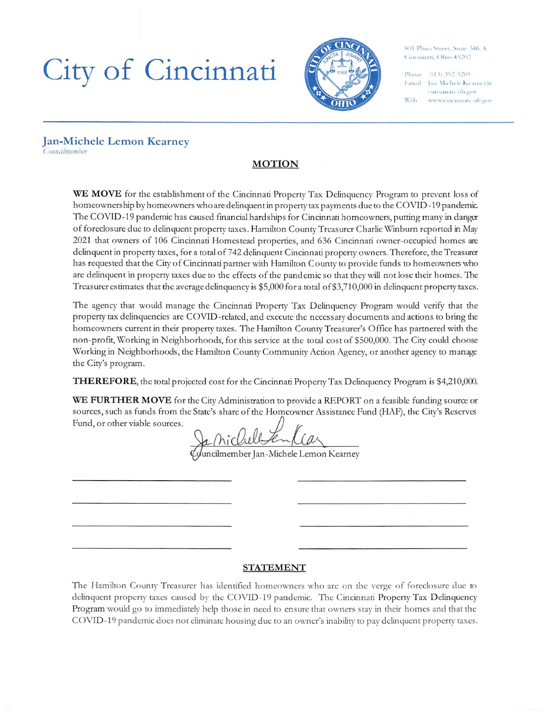# City of Cincinnati



 $801$  Plum Street. Sinte 346. A Cincinnati, Ohio 45202

Phone (513) 352-5205 Email Ian Michele.Kearnev(a eincinnati oh.gov Web www.cincinnati oh.gov

#### Jan-Michele Lemon Kearney Councilmember

# MOTION

WE MOVE for the establishment of the Cincinnati Property Tax Delinquency Program to prevent loss of homeowners hip by homeowners whoare delinquent in property tax payments due to the COVID -19 pandemic The COVID-19 pandemic has caused financial hardships for Cincinnati homeowners, putting many in danger of foreclosure due to delinquent property taxes. Hamilton County Treasurer Charlie Win burn reported in May 2021 that owners of 106 Cincinnati Homestead properties, and 636 Cincinnati owner-occupied homes are delinquent in property taxes, for a total of 742 delinquent Cincinnati property owners. Therefore, the Treasurer has requested that the City of Cincinnati partner with Hamilton County to provide funds to homeowners who are delinquent in property taxes due to the effects of the pandemic so that they will not lose their homes. The Treasurer estimates that the average delinquency is 55,000 for a total of\$3,710,000 in delinquent property taxes.

The agency that would manage the Cincinnati Property Tax Delinquency Program would verify that the property tax delinquencies are COVID-related, and execute die necessary documents and actions to bring the homeowners current in their property taxes. The Hamilton County Treasurer's Office has partnered with the non-profit. Working in Neighborhoods, for this service at the total cost of 5500,000. The City could choose Working in Neighborhoods, the Hamilton County Community Action Agency, or another agency to manage the City's program.

THEREFORE, the total projected cost for the Cincinnati Property Tax Delinquency Program is 54,210,000.

WE FURTHER MOVE for the City Administration to provide a REPORT on a feasible funding source or sources, such as funds from the State's share of the Homeowner Assistance Fund (I4AF), the City's Reserves Fund, or other viable sources.

uncilmember Jan-Michele Lemon Kearney

## STATEMENT

The Hamilton County Treasurer has identified homeowners who are on the verge of foreclosure due to delinquent property taxes caused by the COVID-19 pandemic. The Cincinnati Property Tax Delinquency Program would go to immediately help those in need to ensure that owners stay in their homes and that the COVID-19 pandemic does not eliminate housing due to an owner's inability to pay delinquent property taxes.